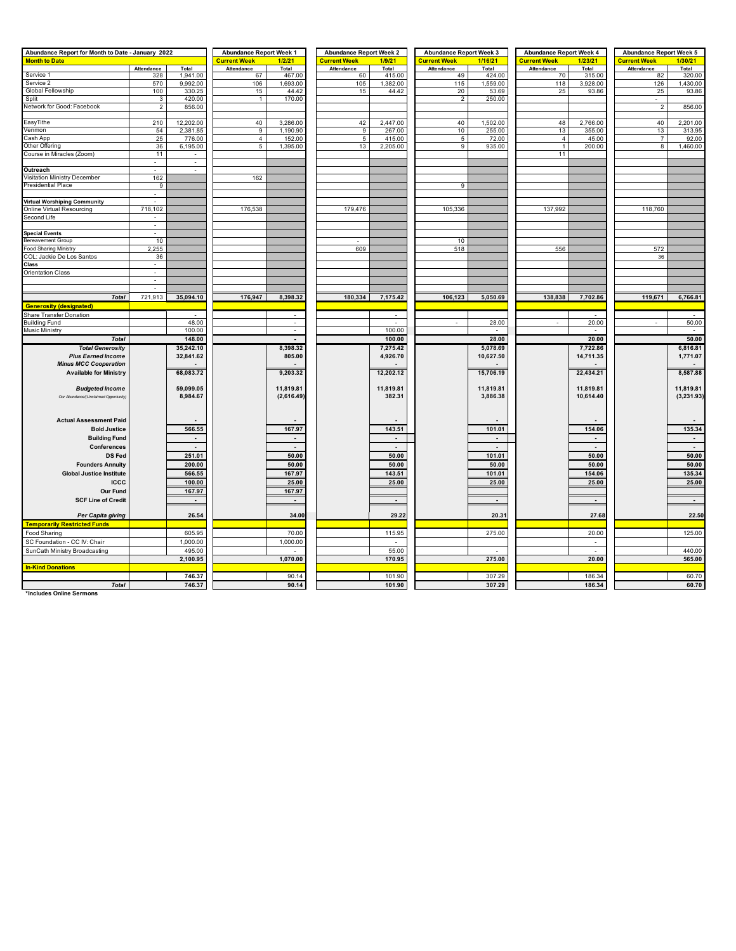| Abundance Report for Month to Date - January 2022                       |                       |                          | <b>Abundance Report Week 1</b> |                          | <b>Abundance Report Week 2</b> |              | <b>Abundance Report Week 3</b> |           | <b>Abundance Report Week 4</b> |                          | <b>Abundance Report Week 5</b> |                          |  |
|-------------------------------------------------------------------------|-----------------------|--------------------------|--------------------------------|--------------------------|--------------------------------|--------------|--------------------------------|-----------|--------------------------------|--------------------------|--------------------------------|--------------------------|--|
| <b>Month to Date</b>                                                    |                       |                          | Current Week                   | 1/2/21                   | <b>Current Week</b>            | 1/9/21       | <b>Current Week</b>            | 1/16/21   | <mark>Current Week</mark>      | 1/23/21                  | <b>Current Week</b>            | 1/30/21                  |  |
|                                                                         | Attendance            | Total                    | Attendance                     | Total                    | Attendance                     | <b>Total</b> | Attendance                     | Total     | Attendance                     | Total                    | Attendance                     | Total                    |  |
| Service 1                                                               | 328                   | 1,941.00                 | 67                             | 467.00                   | 60                             | 415.00       | 49                             | 424.00    | 70                             | 315.00                   | 82                             | 320.00                   |  |
| Service 2                                                               | 570                   | 9,992.00                 | 106                            | 1,693.00                 | 105                            | 1,382.00     | 115                            | 1,559.00  | 118                            | 3,928.00                 | 126                            | 1,430.00                 |  |
| Global Fellowship                                                       | 100                   | 330.25                   | 15                             | 44.42                    | 15                             | 44.42        | 20                             | 53.69     | 25                             | 93.86                    | 25                             | 93.86                    |  |
| Split                                                                   | 3                     | 420.00                   |                                | 170.00                   |                                |              | $\overline{2}$                 | 250.00    |                                |                          |                                |                          |  |
| Network for Good: Facebook                                              | $\overline{2}$        | 856.00                   |                                |                          |                                |              |                                |           |                                |                          | $\overline{2}$                 | 856.00                   |  |
|                                                                         |                       |                          |                                |                          |                                |              |                                |           |                                |                          |                                |                          |  |
| EasyTithe                                                               | 210                   | 12,202.00                | 40                             | 3,286.00                 | 42                             | 2,447.00     | 40                             | 1,502.00  | 48                             | 2,766.00                 | 40                             | 2,201.00                 |  |
| Venmon                                                                  | 54                    | 2,381.85                 | 9                              | 1,190.90                 | 9                              | 267.00       | 10                             | 255.00    | 13                             | 355.00                   | 13                             | 313.95                   |  |
| Cash App                                                                | 25                    | 776.00                   | $\sqrt{4}$                     | 152.00                   | $\,$ 5                         | 415.00       | $\,$ 5 $\,$                    | 72.00     | $\sqrt{4}$                     | 45.00                    | $\overline{7}$                 | 92.00                    |  |
| Other Offering                                                          | 36                    | 6,195.00                 | 5                              | 1,395.00                 | 13                             | 2,205.00     | 9                              | 935.00    | $\mathbf{1}$                   | 200.00                   | $\overline{\mathbf{8}}$        | 1,460.00                 |  |
| Course in Miracles (Zoom)                                               | 11                    | $\sim$                   |                                |                          |                                |              |                                |           | 11                             |                          |                                |                          |  |
|                                                                         | $\sim$                | $\omega$                 |                                |                          |                                |              |                                |           |                                |                          |                                |                          |  |
| Outreach                                                                | $\mathbb{Z}^2$        | $\omega$                 |                                |                          |                                |              |                                |           |                                |                          |                                |                          |  |
| Visitation Ministry December                                            | 162<br>$\overline{9}$ |                          | 162                            |                          |                                |              | $\overline{9}$                 |           |                                |                          |                                |                          |  |
| <b>Presidential Place</b>                                               |                       |                          |                                |                          |                                |              |                                |           |                                |                          |                                |                          |  |
|                                                                         |                       |                          |                                |                          |                                |              |                                |           |                                |                          |                                |                          |  |
| <b>Virtual Worshiping Community</b><br><b>Online Virtual Resourcing</b> | 718,102               |                          | 176,538                        |                          | 179,476                        |              | 105,336                        |           | 137,992                        |                          | 118,760                        |                          |  |
|                                                                         |                       |                          |                                |                          |                                |              |                                |           |                                |                          |                                |                          |  |
| Second Life                                                             | $\sim$                |                          |                                |                          |                                |              |                                |           |                                |                          |                                |                          |  |
|                                                                         |                       |                          |                                |                          |                                |              |                                |           |                                |                          |                                |                          |  |
| <b>Special Events</b><br><b>Bereavement Group</b>                       | 10                    |                          |                                |                          |                                |              | 10                             |           |                                |                          |                                |                          |  |
| <b>Food Sharing Ministry</b>                                            | 2,255                 |                          |                                |                          | 609                            |              | 518                            |           | 556                            |                          | 572                            |                          |  |
| COL: Jackie De Los Santos                                               | 36                    |                          |                                |                          |                                |              |                                |           |                                |                          | 36                             |                          |  |
| Class                                                                   |                       |                          |                                |                          |                                |              |                                |           |                                |                          |                                |                          |  |
| <b>Orientation Class</b>                                                | $\overline{a}$        |                          |                                |                          |                                |              |                                |           |                                |                          |                                |                          |  |
|                                                                         |                       |                          |                                |                          |                                |              |                                |           |                                |                          |                                |                          |  |
|                                                                         |                       |                          |                                |                          |                                |              |                                |           |                                |                          |                                |                          |  |
| <b>Total</b>                                                            | 721,913               | 35,094.10                | 176,947                        | 8,398.32                 | 180,334                        | 7,175.42     | 106,123                        | 5,050.69  | 138,838                        | 7,702.86                 | 119,671                        | 6,766.81                 |  |
| <b>Generosity (designated)</b>                                          |                       |                          |                                |                          |                                |              |                                |           |                                |                          |                                |                          |  |
| Share Transfer Donation                                                 |                       |                          |                                |                          |                                |              |                                |           |                                |                          |                                |                          |  |
| <b>Building Fund</b>                                                    |                       | 48.00                    |                                | $\mathbf{r}$             |                                |              |                                | 28.00     |                                | 20.00                    |                                | 50.00                    |  |
| <b>Music Ministry</b>                                                   |                       | 100.00                   |                                | $\mathbf{r}$             |                                | 100.00       |                                |           |                                |                          |                                |                          |  |
|                                                                         |                       | 148.00                   |                                |                          |                                | 100.00       |                                | 28.00     |                                | 20.00                    |                                |                          |  |
| <b>Total</b>                                                            |                       |                          |                                | $\overline{\phantom{a}}$ |                                |              |                                |           |                                |                          |                                | 50.00                    |  |
| <b>Total Generositv</b>                                                 |                       | 35,242.10                |                                | 8.398.32                 |                                | 7.275.42     |                                | 5.078.69  |                                | 7,722.86                 |                                | 6,816.81                 |  |
| <b>Plus Earned Income</b>                                               |                       | 32,841.62                |                                | 805.00                   |                                | 4,926.70     |                                | 10,627.50 |                                | 14,711.35                |                                | 1,771.07                 |  |
| <b>Minus MCC Cooperation</b>                                            |                       |                          |                                |                          |                                |              |                                |           |                                |                          |                                |                          |  |
| <b>Available for Ministry</b>                                           |                       | 68,083.72                |                                | 9,203.32                 |                                | 12,202.12    |                                | 15,706.19 |                                | 22,434.21                |                                | 8,587.88                 |  |
|                                                                         |                       |                          |                                |                          |                                |              |                                |           |                                |                          |                                |                          |  |
| <b>Budgeted Income</b>                                                  |                       | 59,099.05                |                                | 11,819.81                |                                | 11,819.81    |                                | 11,819.81 |                                | 11,819.81                |                                | 11,819.81                |  |
| Our Abundance/(Unclaimed Opportunity)                                   |                       | 8,984.67                 |                                | (2,616.49)               |                                | 382.31       |                                | 3,886.38  |                                | 10,614.40                |                                | (3,231.93)               |  |
|                                                                         |                       |                          |                                |                          |                                |              |                                |           |                                |                          |                                |                          |  |
|                                                                         |                       |                          |                                |                          |                                |              |                                |           |                                |                          |                                |                          |  |
| <b>Actual Assessment Paid</b>                                           |                       |                          |                                |                          |                                |              |                                |           |                                |                          |                                |                          |  |
| <b>Bold Justice</b>                                                     |                       | 566.55                   |                                | 167.97                   |                                | 143.51       |                                | 101.01    |                                | 154.06                   |                                | 135.34                   |  |
| <b>Building Fund</b>                                                    |                       | $\sim$                   |                                | $\sim$                   |                                | $\sim$       |                                | $\sim$    |                                | $\sim$                   |                                | $\sim$                   |  |
| Conferences                                                             |                       | $\overline{\phantom{a}}$ |                                | $\sim$                   |                                | $\sim$       |                                |           |                                | $\overline{\phantom{a}}$ |                                | $\overline{\phantom{a}}$ |  |
| DS Fed                                                                  |                       | 251.01                   |                                | 50.00                    |                                | 50.00        |                                | 101.01    |                                | 50.00                    |                                | 50.00                    |  |
| <b>Founders Annuity</b>                                                 |                       | 200.00                   |                                | 50.00                    |                                | 50.00        |                                | 50.00     |                                | 50.00                    |                                | 50.00                    |  |
| <b>Global Justice Institute</b>                                         |                       | 566.55                   |                                | 167.97                   |                                | 143.51       |                                | 101.01    |                                | 154.06                   |                                | 135.34                   |  |
| <b>ICCC</b>                                                             |                       | 100.00                   |                                | 25.00                    |                                | 25.00        |                                | 25.00     |                                | 25.00                    |                                | 25.00                    |  |
| <b>Our Fund</b>                                                         |                       | 167.97                   |                                | 167.97                   |                                |              |                                |           |                                |                          |                                |                          |  |
| <b>SCF Line of Credit</b>                                               |                       | $\sim$                   |                                | $\sim$                   |                                | $\sim$       |                                | $\sim$    |                                | $\sim$                   |                                | $\sim$                   |  |
|                                                                         |                       |                          |                                |                          |                                |              |                                |           |                                |                          |                                |                          |  |
| Per Capita giving                                                       |                       | 26.54                    |                                | 34.00                    |                                | 29.22        |                                | 20.31     |                                | 27.68                    |                                | 22.50                    |  |
| <b>Temporarily Restricted Funds</b>                                     |                       |                          |                                |                          |                                |              |                                |           |                                |                          |                                |                          |  |
|                                                                         |                       |                          |                                |                          |                                |              |                                |           |                                |                          |                                |                          |  |
| Food Sharing                                                            |                       | 605.95                   |                                | 70.00                    |                                | 115.95       |                                | 275.00    |                                | 20.00                    |                                | 125.00                   |  |
| SC Foundation - CC IV: Chair                                            |                       | 1,000.00                 |                                | 1,000.00                 |                                | $\sim$       |                                |           |                                | $\sim$                   |                                |                          |  |
| SunCath Ministry Broadcasting                                           |                       | 495.00                   |                                |                          |                                | 55.00        |                                |           |                                | $\sim$                   |                                | 440.00                   |  |
|                                                                         |                       | 2,100.95                 |                                | 1,070.00                 |                                | 170.95       |                                | 275.00    |                                | 20.00                    |                                | 565.00                   |  |
| <b>In-Kind Donations</b>                                                |                       |                          |                                |                          |                                |              |                                |           |                                |                          |                                |                          |  |
|                                                                         |                       | 746.37                   |                                | 90.14                    |                                | 101.90       |                                | 307.29    |                                | 186.34                   |                                | 60.70                    |  |
| <b>Total</b>                                                            |                       | 746.37                   |                                | 90.14                    |                                | 101.90       |                                | 307.29    |                                | 186.34                   |                                | 60.70                    |  |

**\*Includes Online Sermons**